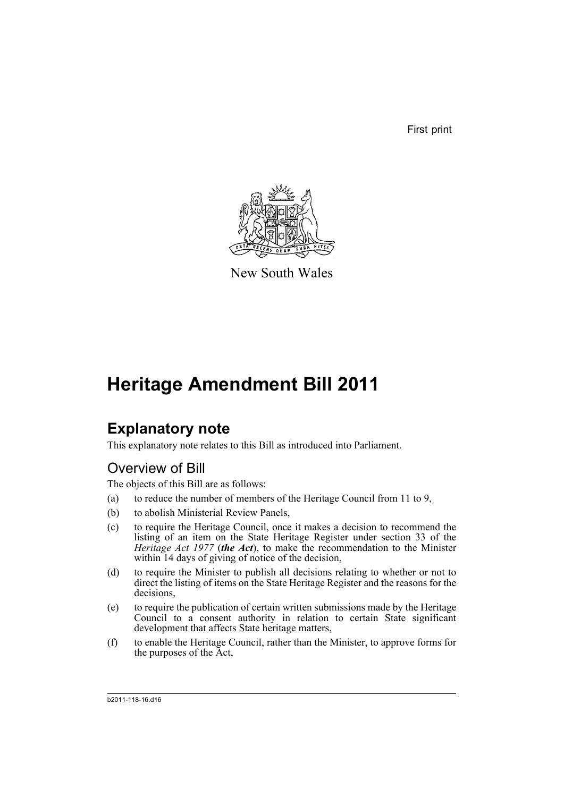First print



New South Wales

## **Heritage Amendment Bill 2011**

### **Explanatory note**

This explanatory note relates to this Bill as introduced into Parliament.

### Overview of Bill

The objects of this Bill are as follows:

- (a) to reduce the number of members of the Heritage Council from 11 to 9,
- (b) to abolish Ministerial Review Panels,
- (c) to require the Heritage Council, once it makes a decision to recommend the listing of an item on the State Heritage Register under section 33 of the *Heritage Act 1977* (*the Act*), to make the recommendation to the Minister within 14 days of giving of notice of the decision,
- (d) to require the Minister to publish all decisions relating to whether or not to direct the listing of items on the State Heritage Register and the reasons for the decisions,
- (e) to require the publication of certain written submissions made by the Heritage Council to a consent authority in relation to certain State significant development that affects State heritage matters,
- (f) to enable the Heritage Council, rather than the Minister, to approve forms for the purposes of the Act,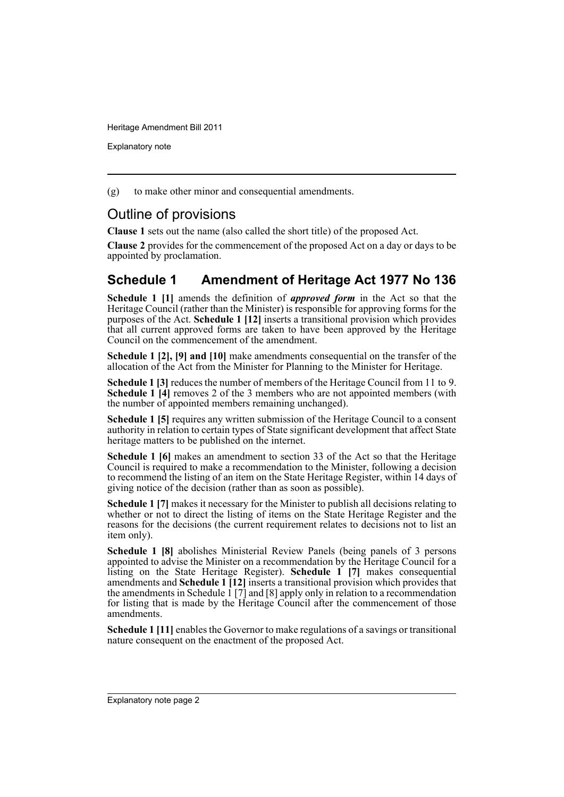Explanatory note

(g) to make other minor and consequential amendments.

#### Outline of provisions

**Clause 1** sets out the name (also called the short title) of the proposed Act.

**Clause 2** provides for the commencement of the proposed Act on a day or days to be appointed by proclamation.

#### **Schedule 1 Amendment of Heritage Act 1977 No 136**

**Schedule 1 [1]** amends the definition of *approved form* in the Act so that the Heritage Council (rather than the Minister) is responsible for approving forms for the purposes of the Act. **Schedule 1 [12]** inserts a transitional provision which provides that all current approved forms are taken to have been approved by the Heritage Council on the commencement of the amendment.

**Schedule 1 [2], [9] and [10]** make amendments consequential on the transfer of the allocation of the Act from the Minister for Planning to the Minister for Heritage.

**Schedule 1 [3]** reduces the number of members of the Heritage Council from 11 to 9. **Schedule 1 [4]** removes 2 of the 3 members who are not appointed members (with the number of appointed members remaining unchanged).

**Schedule 1 [5]** requires any written submission of the Heritage Council to a consent authority in relation to certain types of State significant development that affect State heritage matters to be published on the internet.

**Schedule 1 [6]** makes an amendment to section 33 of the Act so that the Heritage Council is required to make a recommendation to the Minister, following a decision to recommend the listing of an item on the State Heritage Register, within 14 days of giving notice of the decision (rather than as soon as possible).

**Schedule 1 [7]** makes it necessary for the Minister to publish all decisions relating to whether or not to direct the listing of items on the State Heritage Register and the reasons for the decisions (the current requirement relates to decisions not to list an item only).

**Schedule 1 [8]** abolishes Ministerial Review Panels (being panels of 3 persons appointed to advise the Minister on a recommendation by the Heritage Council for a listing on the State Heritage Register). **Schedule 1 [7]** makes consequential amendments and **Schedule 1 [12]** inserts a transitional provision which provides that the amendments in Schedule 1 [7] and [8] apply only in relation to a recommendation for listing that is made by the Heritage Council after the commencement of those amendments.

**Schedule 1** [11] enables the Governor to make regulations of a savings or transitional nature consequent on the enactment of the proposed Act.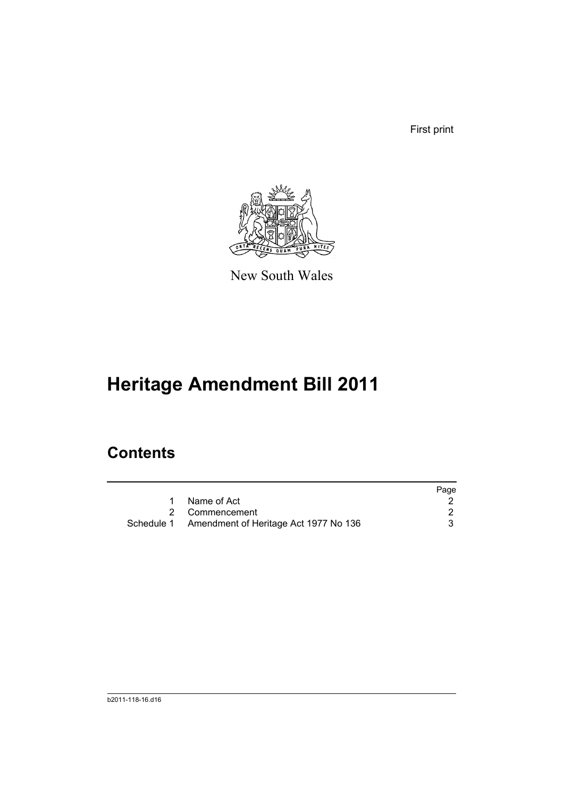First print



New South Wales

# **Heritage Amendment Bill 2011**

### **Contents**

|                                                  | Page |
|--------------------------------------------------|------|
| 1 Name of Act                                    |      |
| 2 Commencement                                   |      |
| Schedule 1 Amendment of Heritage Act 1977 No 136 |      |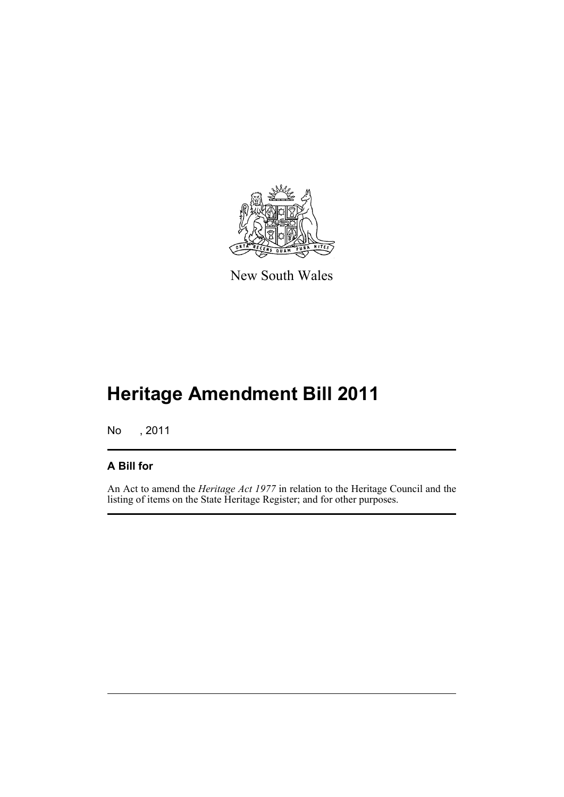

New South Wales

## **Heritage Amendment Bill 2011**

No , 2011

#### **A Bill for**

An Act to amend the *Heritage Act 1977* in relation to the Heritage Council and the listing of items on the State Heritage Register; and for other purposes.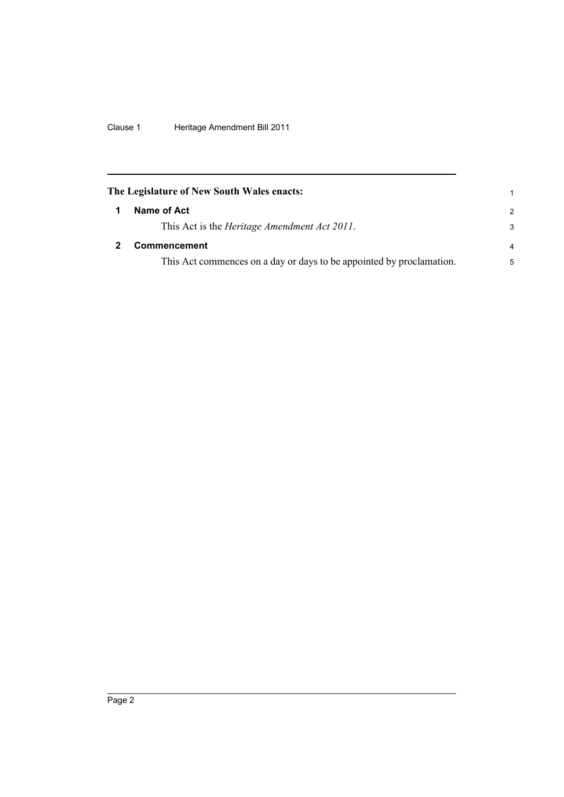Clause 1 Heritage Amendment Bill 2011

<span id="page-5-1"></span><span id="page-5-0"></span>

| The Legislature of New South Wales enacts:                           |                |
|----------------------------------------------------------------------|----------------|
| Name of Act                                                          | $\overline{2}$ |
| This Act is the <i>Heritage Amendment Act 2011</i> .                 | 3              |
| <b>Commencement</b>                                                  | $\overline{4}$ |
| This Act commences on a day or days to be appointed by proclamation. | 5              |
|                                                                      |                |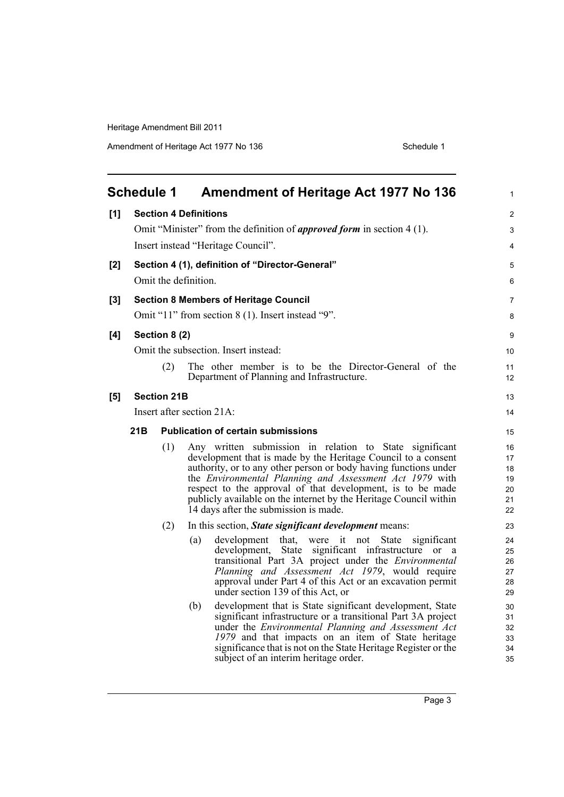<span id="page-6-0"></span>

|       | <b>Schedule 1</b> |                    | <b>Amendment of Heritage Act 1977 No 136</b>                                                                                                                                                                                                                                                                                                                                                                                        | $\mathbf{1}$                           |
|-------|-------------------|--------------------|-------------------------------------------------------------------------------------------------------------------------------------------------------------------------------------------------------------------------------------------------------------------------------------------------------------------------------------------------------------------------------------------------------------------------------------|----------------------------------------|
| [1]   |                   |                    | <b>Section 4 Definitions</b>                                                                                                                                                                                                                                                                                                                                                                                                        | $\overline{2}$                         |
|       |                   |                    | Omit "Minister" from the definition of <i>approved form</i> in section 4 (1).                                                                                                                                                                                                                                                                                                                                                       | 3                                      |
|       |                   |                    | Insert instead "Heritage Council".                                                                                                                                                                                                                                                                                                                                                                                                  | 4                                      |
| [2]   |                   |                    | Section 4 (1), definition of "Director-General"                                                                                                                                                                                                                                                                                                                                                                                     | 5                                      |
|       |                   |                    | Omit the definition.                                                                                                                                                                                                                                                                                                                                                                                                                | 6                                      |
| $[3]$ |                   |                    | <b>Section 8 Members of Heritage Council</b>                                                                                                                                                                                                                                                                                                                                                                                        | 7                                      |
|       |                   |                    | Omit "11" from section 8 (1). Insert instead "9".                                                                                                                                                                                                                                                                                                                                                                                   | 8                                      |
| [4]   |                   | Section 8 (2)      |                                                                                                                                                                                                                                                                                                                                                                                                                                     | 9                                      |
|       |                   |                    | Omit the subsection. Insert instead:                                                                                                                                                                                                                                                                                                                                                                                                | 10                                     |
|       |                   | (2)                | The other member is to be the Director-General of the<br>Department of Planning and Infrastructure.                                                                                                                                                                                                                                                                                                                                 | 11<br>12                               |
| [5]   |                   | <b>Section 21B</b> |                                                                                                                                                                                                                                                                                                                                                                                                                                     | 13                                     |
|       |                   |                    | Insert after section 21A:                                                                                                                                                                                                                                                                                                                                                                                                           | 14                                     |
|       | 21B               |                    | <b>Publication of certain submissions</b>                                                                                                                                                                                                                                                                                                                                                                                           | 15                                     |
|       |                   | (1)                | Any written submission in relation to State significant<br>development that is made by the Heritage Council to a consent<br>authority, or to any other person or body having functions under<br>the Environmental Planning and Assessment Act 1979 with<br>respect to the approval of that development, is to be made<br>publicly available on the internet by the Heritage Council within<br>14 days after the submission is made. | 16<br>17<br>18<br>19<br>20<br>21<br>22 |
|       |                   | (2)                | In this section, State significant development means:                                                                                                                                                                                                                                                                                                                                                                               | 23                                     |
|       |                   |                    | that, were it not State<br>development<br>significant<br>(a)<br>development, State significant infrastructure or a<br>transitional Part 3A project under the <i>Environmental</i><br>Planning and Assessment Act 1979, would require<br>approval under Part 4 of this Act or an excavation permit<br>under section 139 of this Act, or                                                                                              | 24<br>25<br>26<br>27<br>28<br>29       |
|       |                   |                    | development that is State significant development, State<br>(b)<br>significant infrastructure or a transitional Part 3A project<br>under the Environmental Planning and Assessment Act<br>1979 and that impacts on an item of State heritage<br>significance that is not on the State Heritage Register or the<br>subject of an interim heritage order.                                                                             | 30<br>31<br>32<br>33<br>34<br>35       |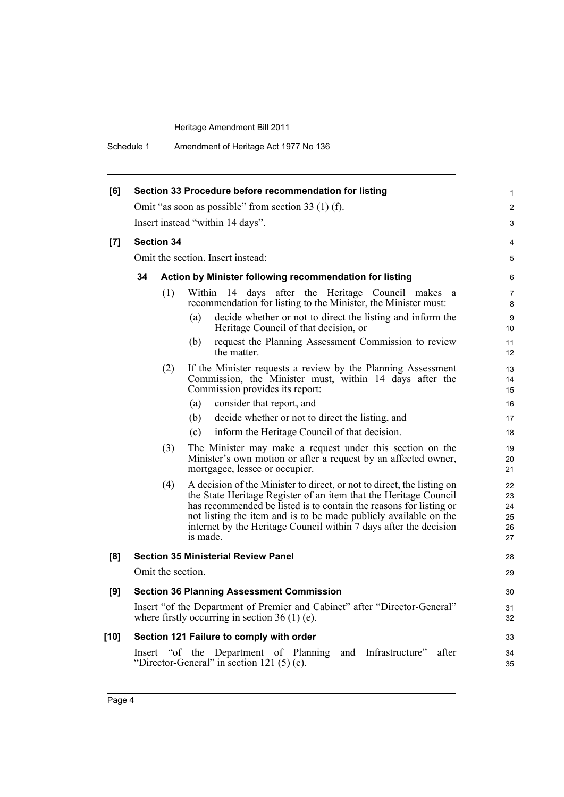| Schedule 1 | Amendment of Heritage Act 1977 No 136 |
|------------|---------------------------------------|
|------------|---------------------------------------|

| [6]    |                   | Section 33 Procedure before recommendation for listing                                                                                                                                                                                                                                                                                                                | 1                                |
|--------|-------------------|-----------------------------------------------------------------------------------------------------------------------------------------------------------------------------------------------------------------------------------------------------------------------------------------------------------------------------------------------------------------------|----------------------------------|
|        |                   | Omit "as soon as possible" from section 33 $(1)$ (f).                                                                                                                                                                                                                                                                                                                 | 2                                |
|        |                   | Insert instead "within 14 days".                                                                                                                                                                                                                                                                                                                                      | 3                                |
| [7]    | <b>Section 34</b> |                                                                                                                                                                                                                                                                                                                                                                       | 4                                |
|        |                   | Omit the section. Insert instead:                                                                                                                                                                                                                                                                                                                                     | 5                                |
|        | 34                | Action by Minister following recommendation for listing                                                                                                                                                                                                                                                                                                               | 6                                |
|        | (1)               | Within 14 days after the Heritage Council makes a<br>recommendation for listing to the Minister, the Minister must:                                                                                                                                                                                                                                                   | 7<br>8                           |
|        |                   | decide whether or not to direct the listing and inform the<br>(a)<br>Heritage Council of that decision, or                                                                                                                                                                                                                                                            | 9<br>10                          |
|        |                   | (b)<br>request the Planning Assessment Commission to review<br>the matter.                                                                                                                                                                                                                                                                                            | 11<br>12                         |
|        | (2)               | If the Minister requests a review by the Planning Assessment<br>Commission, the Minister must, within 14 days after the<br>Commission provides its report:                                                                                                                                                                                                            | 13<br>14<br>15                   |
|        |                   | consider that report, and<br>(a)                                                                                                                                                                                                                                                                                                                                      | 16                               |
|        |                   | decide whether or not to direct the listing, and<br>(b)                                                                                                                                                                                                                                                                                                               | 17                               |
|        |                   | inform the Heritage Council of that decision.<br>(c)                                                                                                                                                                                                                                                                                                                  | 18                               |
|        | (3)               | The Minister may make a request under this section on the<br>Minister's own motion or after a request by an affected owner,<br>mortgagee, lessee or occupier.                                                                                                                                                                                                         | 19<br>20<br>21                   |
|        | (4)               | A decision of the Minister to direct, or not to direct, the listing on<br>the State Heritage Register of an item that the Heritage Council<br>has recommended be listed is to contain the reasons for listing or<br>not listing the item and is to be made publicly available on the<br>internet by the Heritage Council within 7 days after the decision<br>is made. | 22<br>23<br>24<br>25<br>26<br>27 |
| [8]    |                   | <b>Section 35 Ministerial Review Panel</b>                                                                                                                                                                                                                                                                                                                            | 28                               |
|        | Omit the section. |                                                                                                                                                                                                                                                                                                                                                                       | 29                               |
| [9]    |                   | <b>Section 36 Planning Assessment Commission</b>                                                                                                                                                                                                                                                                                                                      | 30                               |
|        |                   | Insert "of the Department of Premier and Cabinet" after "Director-General"<br>where firstly occurring in section $36(1)$ (e).                                                                                                                                                                                                                                         | 31<br>32                         |
| $[10]$ |                   | Section 121 Failure to comply with order                                                                                                                                                                                                                                                                                                                              | 33                               |
|        |                   | Insert "of the Department of Planning and Infrastructure"<br>after<br>"Director-General" in section 121 $(5)(c)$ .                                                                                                                                                                                                                                                    | 34<br>35                         |
|        |                   |                                                                                                                                                                                                                                                                                                                                                                       |                                  |